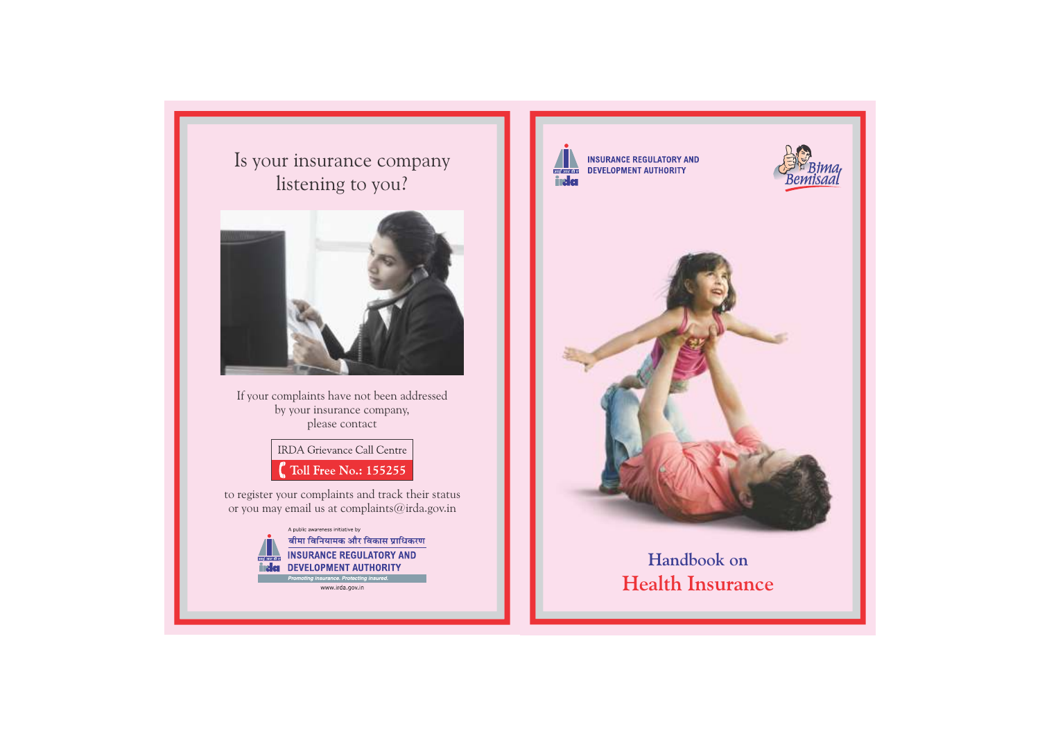Is your insurance company listening to you?



If your complaints have not been addressed by your insurance company, please contact

> **IRDA Grievance Call Centre**  $\int_a^b$  Toll Free No.: 155255

to register your complaints and track their status or you may email us at complaints@irda.gov.in



www.irda.gov.in



**INSURANCE REGULATORY AND DEVELOPMENT AUTHORITY** 





# **Handbook on Health Insurance**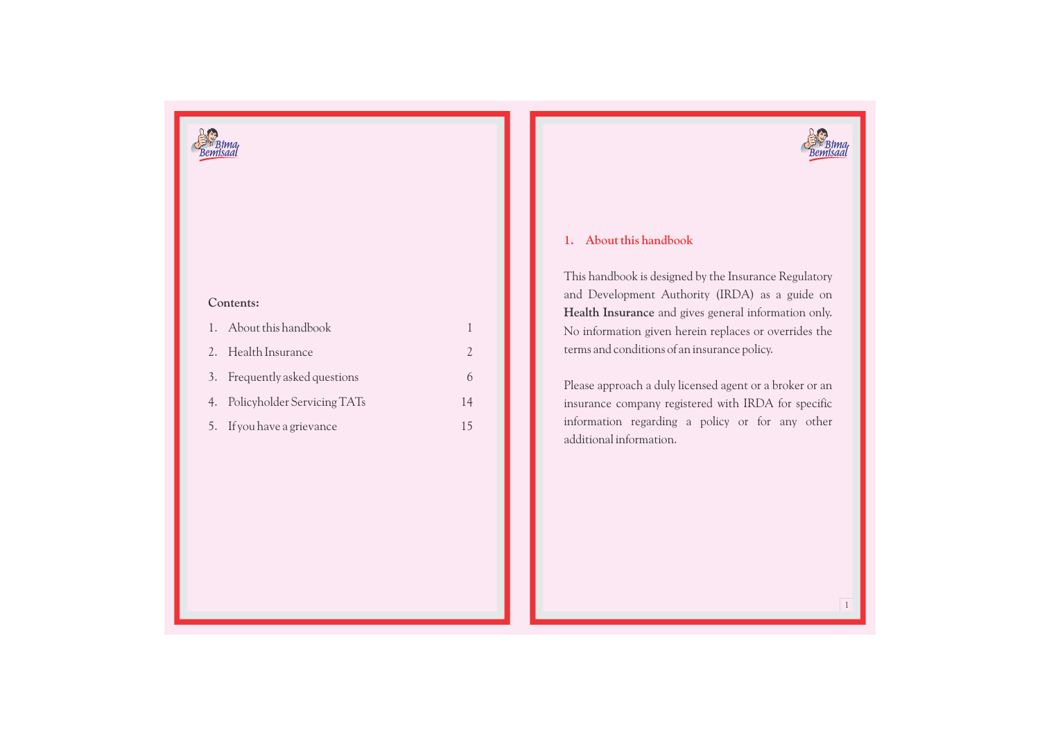

#### **Contents:**

| 1. About this handbook         |    |
|--------------------------------|----|
| 2. Health Insurance            |    |
| 3. Frequently asked questions  | 6  |
| 4. Policyholder Servicing TATs | 14 |
| 5. If you have a grievance     |    |

## **1. About this handbook**

This handbook is designed by the Insurance Regulatory and Development Authority (IRDA) as a guide on **Health Insurance** and gives general information only. No information given herein replaces or overrides the terms and conditions of an insurance policy.

Please approach a duly licensed agent or a broker or an insurance company registered with IRDA for specific information regarding a policy or for any other additional information.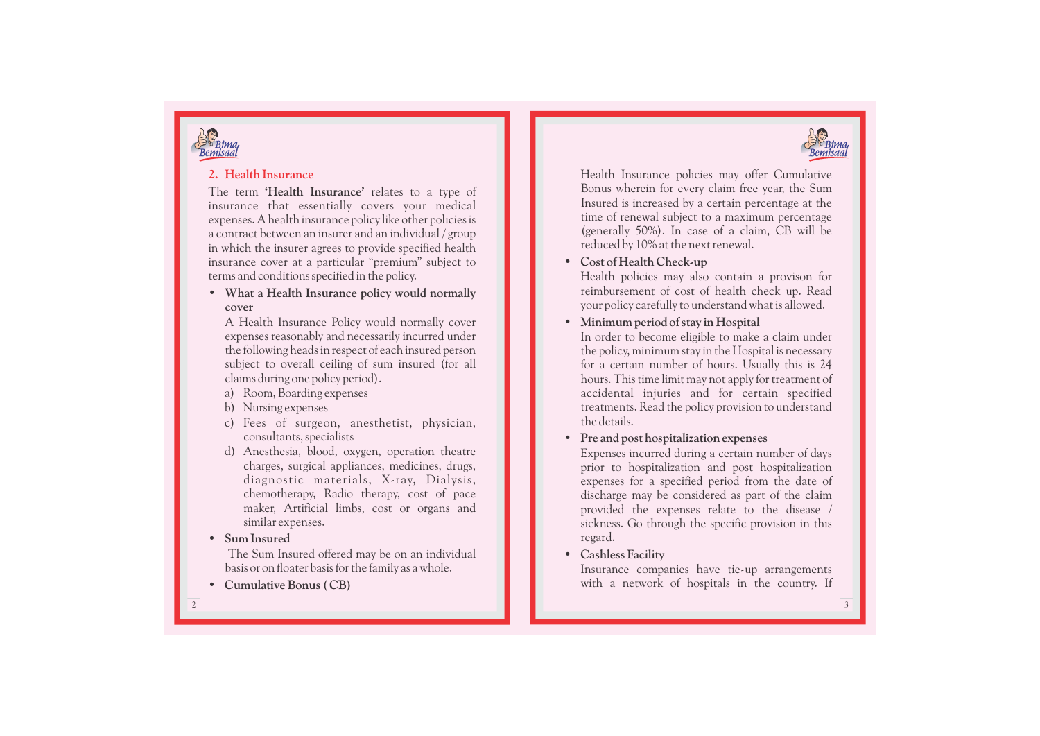



#### **2. Health Insurance**

The term **'Health Insurance'** relates to a type of insurance that essentially covers your medical expenses. A health insurance policy like other policies is a contract between an insurer and an individual / group in which the insurer agrees to provide specified health insurance cover at a particular "premium" subject to terms and conditions specified in the policy.

**• What a Health Insurance policy would normally cover**

A Health Insurance Policy would normally cover expenses reasonably and necessarily incurred under the following heads in respect of each insured person subject to overall ceiling of sum insured (for all claims during one policy period).

- a) Room, Boarding expenses
- b) Nursing expenses
- c) Fees of surgeon, anesthetist, physician, consultants, specialists
- d) Anesthesia, blood, oxygen, operation theatre charges, surgical appliances, medicines, drugs, diagnostic materials, X-ray, Dialysis, chemotherapy, Radio therapy, cost of pace maker, Artificial limbs, cost or organs and similar expenses.

#### **• Sum Insured**

The Sum Insured offered may be on an individual basis or on floater basis for the family as a whole.

**• Cumulative Bonus ( CB)** 

Health Insurance policies may offer Cumulative Bonus wherein for every claim free year, the Sum Insured is increased by a certain percentage at the time of renewal subject to a maximum percentage (generally 50%). In case of a claim, CB will be reduced by 10% at the next renewal.

## **• Cost of Health Check-up**

Health policies may also contain a provison for reimbursement of cost of health check up. Read your policy carefully to understand what is allowed.

**• Minimum period of stay in Hospital**

In order to become eligible to make a claim under the policy, minimum stay in the Hospital is necessary for a certain number of hours. Usually this is 24 hours. This time limit may not apply for treatment of accidental injuries and for certain specified treatments. Read the policy provision to understand the details.

#### **• Pre and post hospitalization expenses**

Expenses incurred during a certain number of days<br>prior to hospitalization and post hospitalization expenses for a specified period from the date of discharge may be considered as part of the claim provided the expenses relate to the disease / sickness. Go through the specific provision in this regard.

#### **• Cashless Facility**

Insurance companies have tie-up arrangements with a network of hospitals in the country. If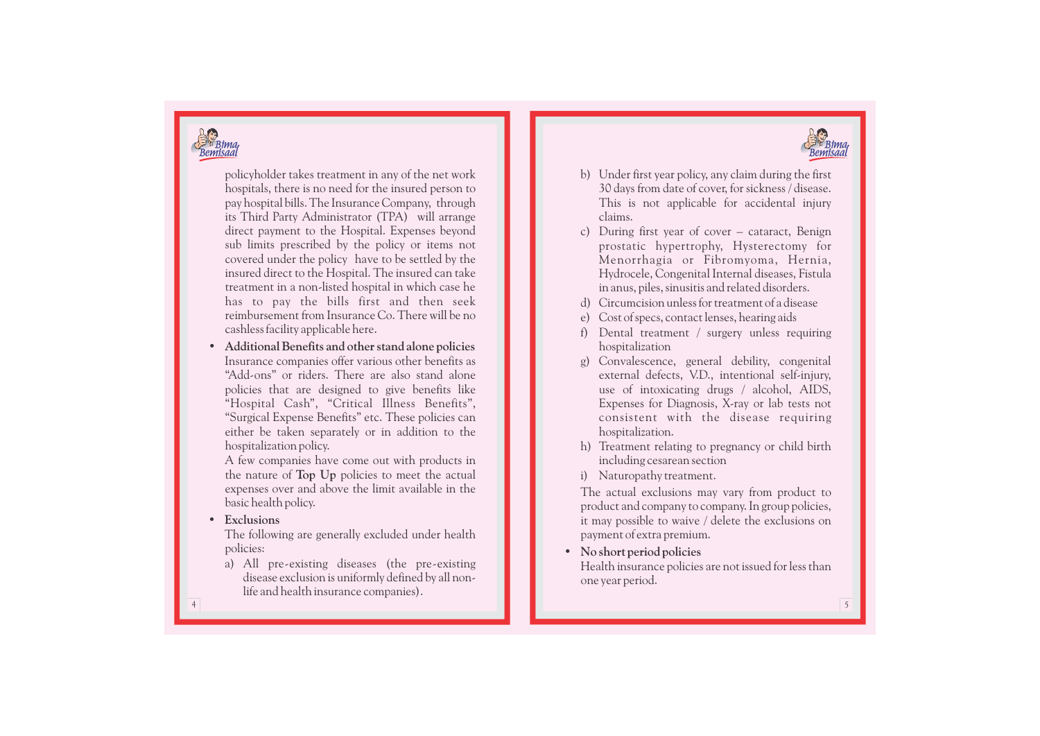



policyholder takes treatment in any of the net work hospitals, there is no need for the insured person to pay hospital bills. The Insurance Company, through its Third Party Administrator (TPA) will arrange direct payment to the Hospital. Expenses beyond sub limits prescribed by the policy or items not covered under the policy have to be settled by the insured direct to the Hospital. The insured can take treatment in a non-listed hospital in which case he has to pay the bills first and then seek reimbursement from Insurance Co. There will be no cashless facility applicable here.

**• Additional Benefits and other stand alone policies** Insurance companies offer various other benefits as "Add-ons" or riders. There are also stand alone policies that are designed to give benefits like "Hospital Cash", "Critical Illness Benefits", "Surgical Expense Benefits" etc. These policies can either be taken separately or in addition to the hospitalization policy.

A few companies have come out with products in the nature of **Top Up** policies to meet the actual expenses over and above the limit available in the basic health policy.

**• Exclusions**

The following are generally e xcluded under health policies:

a) All pre-existing diseases (the pre-existing disease e xclusion is uniformly defined by all nonlife and health insurance companies).

- b) Under first year policy, any claim during the first 30 days from date of cover, for sickness / disease. This is not applicable for accidental injury claims.
- c) During first year of cover cataract, Benign prostatic hypertrophy, Hysterectomy for Menorrhagia or Fibromyoma, Hernia, Hydrocele, Congenital Internal diseases, Fistula in anus, piles, sinusitis and related disorders.
- d) Circumcision unless for treatment of a disease
- e) Cost of specs, contact lenses, hearing aids
- f) Dental treatment / surgery unless requiring hospitalization
- g) Convalescence, general debility, congenital external defects, V.D., intentional self-injury, use of intoxicating drugs / alcohol, AIDS, Expenses for Diagnosis, X-ray or lab tests not consistent with the disease requiring hospitalization.
- h) Treatment relating to pregnancy or child birth including cesarean section
- i) Naturopathy treatment.

The actual e xclusions may vary from product to product and company to company. In group policies, it may possible to waive / delete the e xclusions on payment of extra premium.

### **• No short period policies**

Health insurance policies are not issued for less than one year period.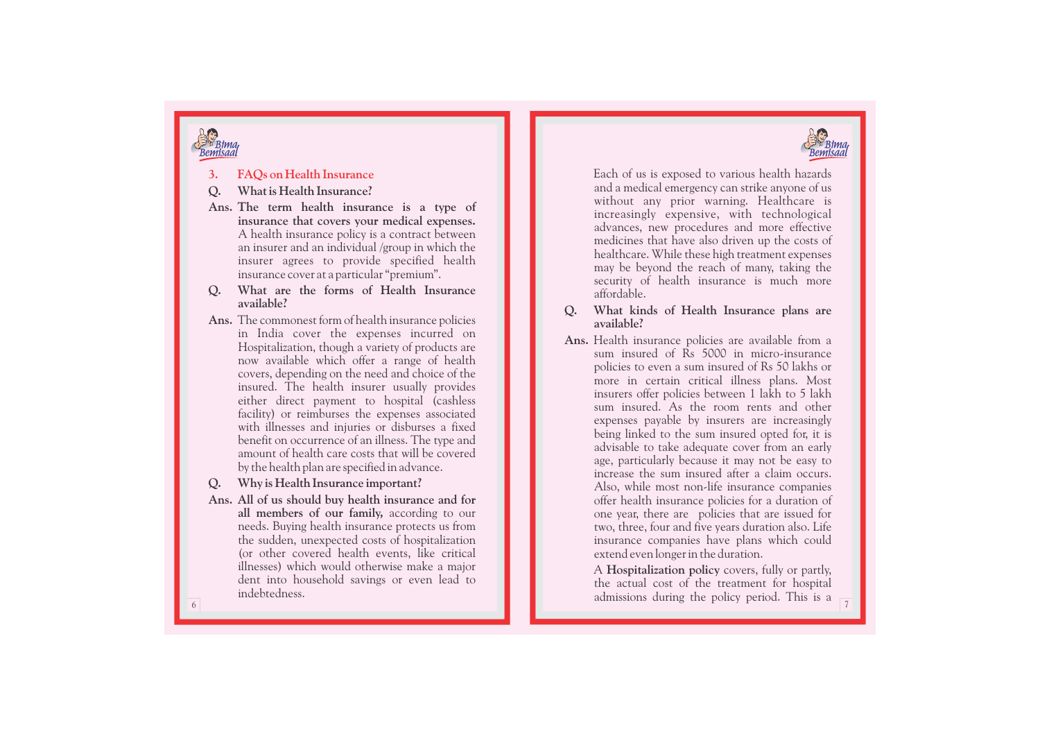



#### **3. F AQs on Health Insurance**

#### **Q . What is Health Insurance?**

- **Ans. The term health insurance is a type of insurance that covers your medical expenses.** A health insurance policy is a contract between an insurer and an individual /group in which the insurer agrees to provide specified health insurance cover at a particular "premium".
- **Q . What are the forms of Health Insurance available?**
- **Ans.** The commonest form of health insurance policies in India cover the expenses incurred on Hospitalization, though a variety of products are now available which offer a range of health covers, depending on the need and choice of the insured. The health insurer usually provides either direct payment to hospital (cashless facility) or reimburses the expenses associated with illnesses and injuries or disburses a fixed benefit on occurrence of an illness. The type and amount of health care costs that will be covered by the health plan are specified in advance.
- **Q . Why is Health Insurance important?**
- **Ans. All of us should buy health insurance and for all members of our family,** according to our needs. Buying health insurance protects us from the sudden, unexpected costs of hospitalization (or other covered health events, like critical illnesses) which would otherwise make a major dent into household savings or even lead to indebtedness.

Each of us is exposed to various health hazards and a medical emergency can strike anyone of us without any prior warning. Healthcare is increasingly expensive, with technological advances, new procedures and more effective medicines that have also driven up the costs of healthcare. While these high treatment expenses may be beyond the reach of many, taking the security of health insurance is much more affordable.

- **Q . What kinds of Health Insurance plans are available?**
- **Ans.** Health insurance policies are available from a sum insured of Rs 5000 in micro-insurance policies to even a sum insured of Rs 50 lakhs or more in certain critical illness plans. Most insurers offer policies between 1 lakh to 5 lakh expenses payable by insurers are increasingly being linked to the sum insured opted for, it is advisable to take adequate cover from an early age, particularly because it may not be easy to increase the sum insured after a claim occurs. Also, while most non-life insurance companies offer health insurance policies for a duration of one year, there are policies that are issued for two, three, four and five years duration also. Life insurance companies have plans which could extend even longer in the duration.

A **Hospitalization policy** covers, fully or partly, the actual cost of the treatment for hospital admissions during the policy period. This is a

7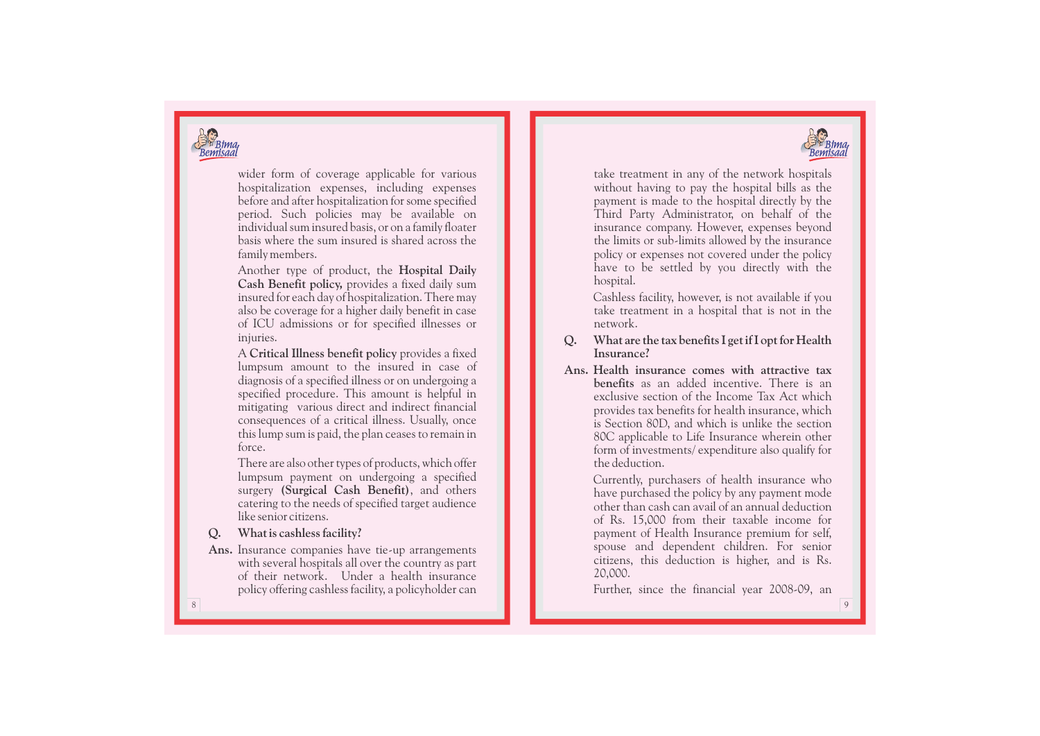



wider form of coverage applicable for various hospit aliza tion e x penses, including e x penses before and after hospitalization for some specified period. Such policies may be available on individual sum insured basis, or on a family floater basis where the sum insured is shared across the family members.

Another type of product, the **Hospital Daily Cash Benefit policy,** provides a fixed daily sum insured for each day of hospitalization. There may also be coverage for a higher daily benefit in case of ICU admissions or for specified illnesses or injuries.

A **Critical Illness benefit policy** provides a fixed lumpsum amount to the insured in case of diagnosis of a specified illness or on undergoing a specified procedure. This amount is helpful in mitigating various direct and indirect financial consequences of a critical illness. Usually, once this lump sum is paid, the plan ceases to remain in force.

There are also other types of products, which offer lumpsum payment on undergoing a specified surgery **(Surgical Cash Benefit)**, and others catering to the needs of specified target audience like senior citizens.

**Q . What is cashless facility?**

**Ans.** Insurance companies have tie-up arrangements with several hospitals all over the country as part of their network. Under a health insurance policy offering cashless facility, a policyholder can take treatment in any of the network hospitals without having to pay the hospital bills as the payment is made to the hospital directly by the Third Party Administrator, on behalf of the insurance company. However, expenses beyond the limits or sub-limits allowed by the insurance policy or expenses not covered under the policy have to be settled by you directly with the hospital.

Cashless facility, however, is not available if you take treatment in a hospital that is not in the network .

#### **Q . What are the tax benefits I get if I opt for Health Insurance?**

Ans. Health insurance comes with attractive tax benefits as an added incentive. There is an exclusive section of the Income Tax Act which provides tax benefits for health insurance, which is Section 80D, and which is unlike the section 80C applicable to Life Insurance wherein other form of investments/ expenditure also qualify for the deduction.

> Currently, purchasers of health insurance who have purchased the policy by any payment mode other than cash can avail of an annual deduction of Rs. 15,000 from their taxable income for payment of Health Insurance premium for self, spouse and dependent children. For senior citizens, this deduction is higher, and is Rs.

20,000. Further, since the financial year 2008-09, an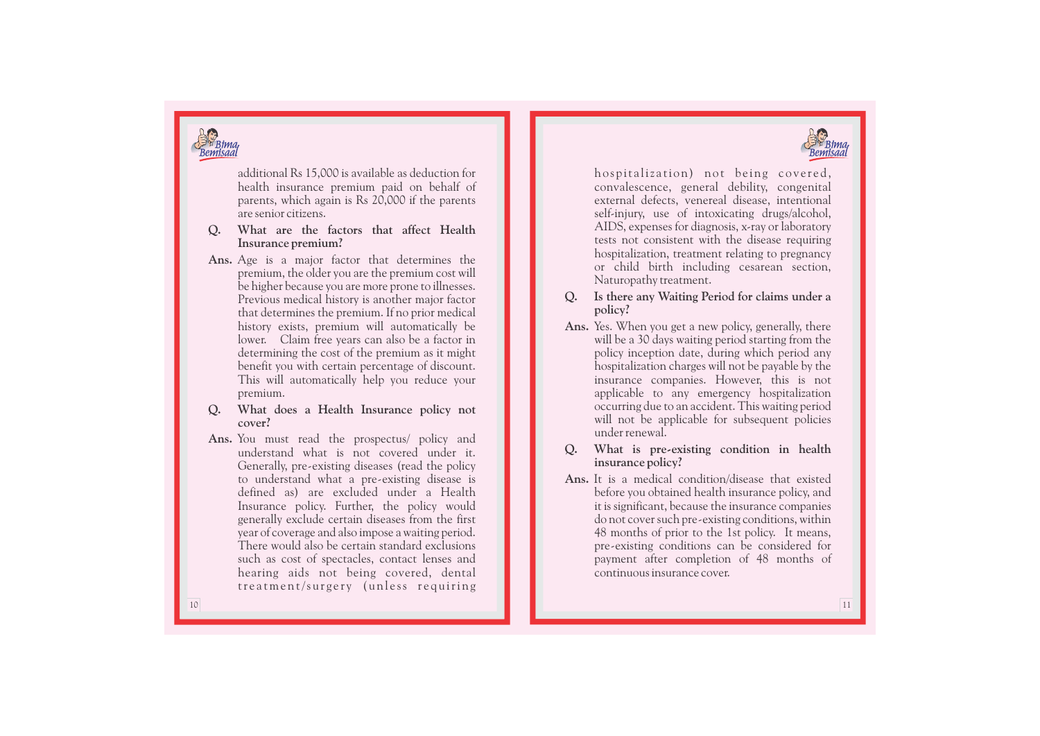



additional Rs 15,000 is available as deduction for health insurance premium paid on behalf of parents, which again is Rs 20,000 if the parents are senior citizens.

- **Q . What are the factors that affect Health Insurance premium?**
- **Ans.** Age is a major factor that determines the premium, the older you are the premium cost will be higher because you are more prone to illnesses. Previous medical history is another major factor that determines the premium. If no prior medical history exists, premium will automatically be lower. Claim free years can also be a factor in determining the cost of the premium as it might benefit you with certain percentage of discount. This will automatically help you reduce your premium.
- **Q . What does a Health Insurance policy not cover?**
- **Ans.** You must read the prospectus/ policy and understand what is not covered under it. Generally, pre - existing diseases (read the policy to understand what a pre - existing disease is defined as) are excluded under a Health Insurance policy. Further, the policy would generally e xclude certain diseases from the first year of coverage and also impose a waiting period. There would also be certain standard e xclusions such as cost of spectacles, contact lenses and hearing aids not being covered, dental treatment/surgery (unless requiring

hospitalization) not being covered, convalescence, general debility, congenital external defects, venereal disease, intentional self-injury, use of intoxicating drugs/alcohol, AIDS, expenses for diagnosis, x-ray or laboratory tests not consistent with the disease requiring<br>hospitalization, treatment relating to pregnancy or child birth including cesarean section, Naturopathy treatment.

- **Q . Is there any Waiting Period for claims under a policy?**
- **Ans.** Yes. When you get a new policy, generally, there will be a 30 days waiting period starting from the policy inception date, during which period any hospitalization charges will not be payable by the insurance companies. However, this is not applicable to any emergency hospitalization occurring due to an accident. This waiting period will not be applicable for subsequent policies under renewal.
- **Q . What is pre - existing condition in health insurance policy?**
- **Ans.** It is a medical condition/disease that existed before you obtained health insurance policy, and it is significant, because the insurance companies do not cover such pre - existing conditions, within 48 months of prior to the 1st policy. It means, pre - existing conditions can be considered for payment after completion of 48 months of continuous insurance cover.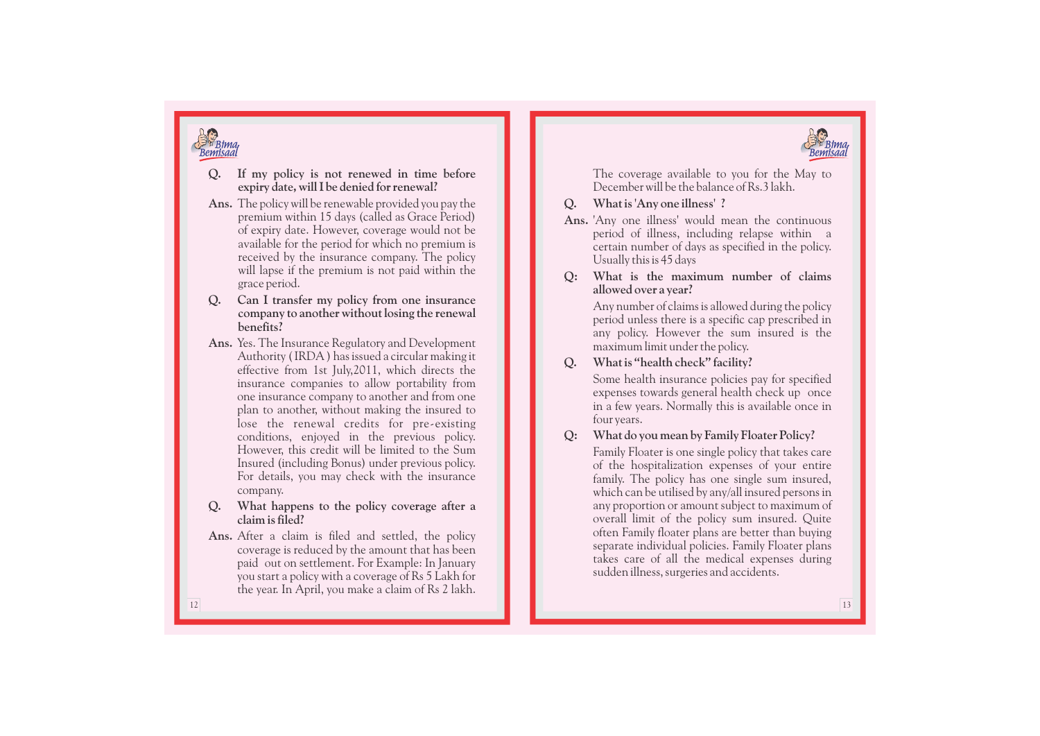

<sup>3</sup> Bima<br>Bemisaal

- **Q . If my policy is not renewed in time before expiry date, will I be denied for renewal?**
- **Ans.** The policy will be renewable provided you pay the premium within 15 days (called as Grace Period) of expiry date. However, coverage would not be available for the period for which no premium is received by the insurance company. The policy will lapse if the premium is not paid within the grace period.
- **Q . Can I transfer my policy from one insurance company to another without losing the renewal benefits?**
- Ans. Yes. The Insurance Regulatory and Development Authority (IRDA) has issued a circular making it effective from 1st July,2011, which directs the insurance companies to allow portability from one insurance company to another and from one<br>plan to another, without making the insured to lose the renewal credits for pre-existing conditions, enjoyed in the previous policy. However, this credit will be limited to the Sum Insured (including Bonus) under previous policy. For details, you may check with the insurance company.
- **Q . What happens to the policy coverage after a claim is filed?**
- **Ans.** After a claim is filed and settled, the policy coverage is reduced by the amount that has been paid out on settlement. For Example: In January you start a policy with a coverage of Rs 5 Lakh for the year. In April, you make a claim of Rs 2 lakh.

The coverage available to you for the May to December will be the balance of Rs.3 lakh.

- **Q . What is 'Any one illness' ?**
- **Ans.** 'Any one illness' would mean the continuous period of illness, including relapse within a certain number of days as specified in the policy. Usually this is 45 days

**Q: What is the maximum number of claims allowed over a year?** 

> Any number of claims is allowed during the policy period unless there is a specific cap prescribed in any policy. However the sum insured is the maximum limit under the policy.

#### **Q . What is "health check" facility?**

Some health insurance policies pay for specified expenses towards general health check up once in a few years. Normally this is available once in four years.

### **Q: What do you mean by Family Floater Policy?**

Family Floater is one single policy that takes care of the hospitalization expenses of your entire family. The policy has one single sum insured, which can be utilised by any/all insured persons in any proportion or amount subject to maximum of overall limit of the policy sum insured. Quite often Family floater plans are better than buying separate individual policies. Family Floater plans takes care of all the medical expenses during sudden illness, surgeries and accidents.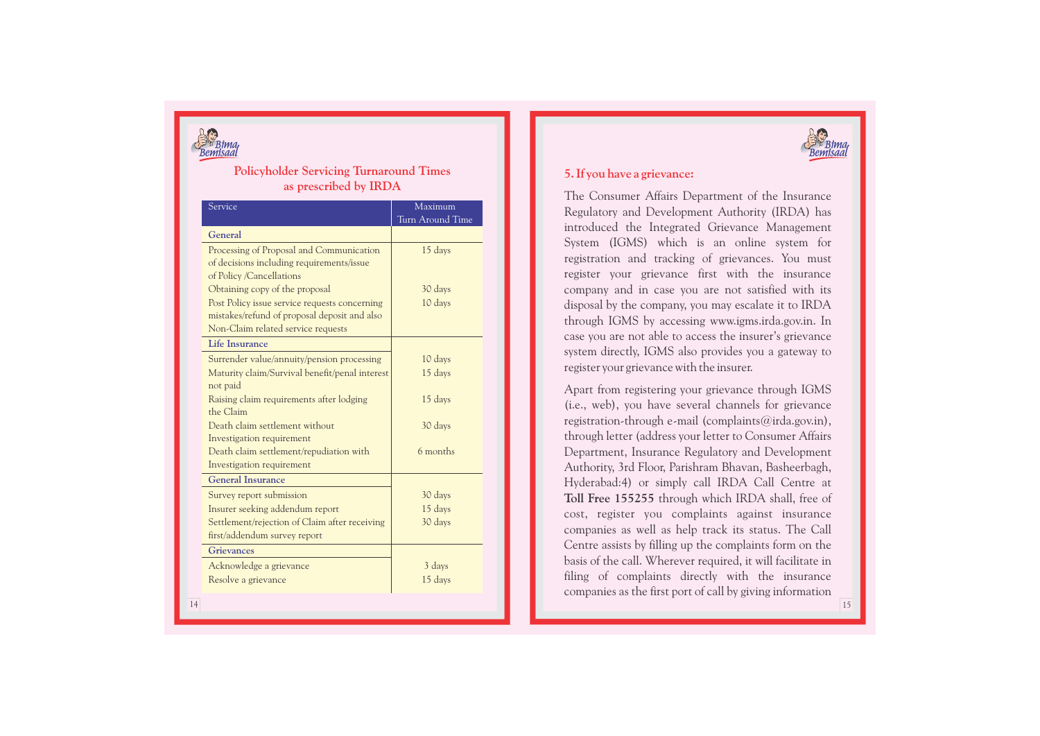

#### **Policyholder Servicing Turnaround Times as prescribed by IRD A**

| Service                                                                                                                             | Maximum<br>Turn Around Time |
|-------------------------------------------------------------------------------------------------------------------------------------|-----------------------------|
| General                                                                                                                             |                             |
| Processing of Proposal and Communication<br>of decisions including requirements/issue<br>of Policy /Cancellations                   | 15 days                     |
| Obtaining copy of the proposal                                                                                                      | 30 days                     |
| Post Policy issue service requests concerning<br>mistakes/refund of proposal deposit and also<br>Non-Claim related service requests | 10 days                     |
| <b>Life Insurance</b>                                                                                                               |                             |
| Surrender value/annuity/pension processing                                                                                          | 10 days                     |
| Maturity claim/Survival benefit/penal interest<br>not paid                                                                          | 15 days                     |
| Raising claim requirements after lodging<br>the Claim                                                                               | 15 days                     |
| Death claim settlement without<br>Investigation requirement                                                                         | 30 days                     |
| Death claim settlement/repudiation with<br>Investigation requirement                                                                | 6 months                    |
| <b>General Insurance</b>                                                                                                            |                             |
| Survey report submission                                                                                                            | 30 days                     |
| Insurer seeking addendum report                                                                                                     | 15 days                     |
| Settlement/rejection of Claim after receiving<br>first/addendum survey report                                                       | 30 days                     |
| <b>Grievances</b>                                                                                                                   |                             |
| Acknowledge a grievance                                                                                                             | 3 days                      |
| Resolve a grievance                                                                                                                 | 15 days                     |



#### **5. If you have a grievance:**

The Consumer Affairs Department of the Insurance Regulatory and Development Authority (IRDA) has introduced the Integrated Grievance Management System (IGMS) which is an online system for registration and tracking of grievances. You must register your grievance first with the insurance company and in case you are not satisfied with its disposal by the company, you may escalate it to IRDA through IGMS by accessing www.igms.irda.gov.in. In case you are not able to access the insurer's grievance system directly, IGMS also provides you a gateway to register your grievance with the insurer.

Apart from registering your grievance through IGMS (i.e., web), you have several channels for grievance registration-through e-mail (complaints@irda.gov.in), through letter (address your letter to Consumer Affairs Department, Insurance Regulatory and Development Authority, 3rd Floor, Parishram Bhavan, Basheerbagh, Hyderabad:4) or simply call IRDA Call Centre at **Toll Free 155255** through which IRDA shall, free of cost, register you complaints against insurance companies as well as help track its status. The Call Centre assists by filling up the complaints form on the basis of the call. Wherever required, it will facilitate in filing of complaints directly with the insurance companies as the first port of call by giving information